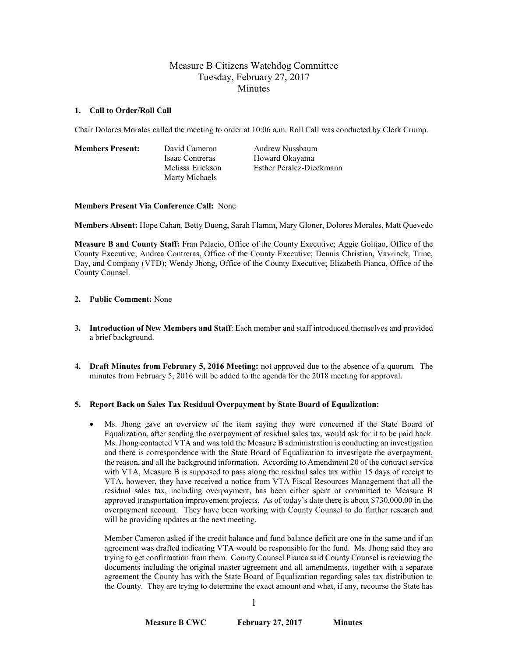# Measure B Citizens Watchdog Committee Tuesday, February 27, 2017 **Minutes**

### **1. Call to Order/Roll Call**

Chair Dolores Morales called the meeting to order at 10:06 a.m. Roll Call was conducted by Clerk Crump.

**Members Present:** David Cameron Andrew Nussbaum Marty Michaels

Isaac Contreras Howard Okayama Melissa Erickson Esther Peralez-Dieckmann

# **Members Present Via Conference Call:** None

**Members Absent:** Hope Cahan*,* Betty Duong, Sarah Flamm, Mary Gloner, Dolores Morales, Matt Quevedo

**Measure B and County Staff:** Fran Palacio, Office of the County Executive; Aggie Goltiao, Office of the County Executive; Andrea Contreras, Office of the County Executive; Dennis Christian, Vavrinek, Trine, Day, and Company (VTD); Wendy Jhong, Office of the County Executive; Elizabeth Pianca, Office of the County Counsel.

# **2. Public Comment:** None

- **3. Introduction of New Members and Staff**: Each member and staff introduced themselves and provided a brief background.
- **4. Draft Minutes from February 5, 2016 Meeting:** not approved due to the absence of a quorum. The minutes from February 5, 2016 will be added to the agenda for the 2018 meeting for approval.

# **5. Report Back on Sales Tax Residual Overpayment by State Board of Equalization:**

• Ms. Jhong gave an overview of the item saying they were concerned if the State Board of Equalization, after sending the overpayment of residual sales tax, would ask for it to be paid back. Ms. Jhong contacted VTA and was told the Measure B administration is conducting an investigation and there is correspondence with the State Board of Equalization to investigate the overpayment, the reason, and all the background information. According to Amendment 20 of the contract service with VTA, Measure B is supposed to pass along the residual sales tax within 15 days of receipt to VTA, however, they have received a notice from VTA Fiscal Resources Management that all the residual sales tax, including overpayment, has been either spent or committed to Measure B approved transportation improvement projects. As of today's date there is about \$730,000.00 in the overpayment account. They have been working with County Counsel to do further research and will be providing updates at the next meeting.

Member Cameron asked if the credit balance and fund balance deficit are one in the same and if an agreement was drafted indicating VTA would be responsible for the fund. Ms. Jhong said they are trying to get confirmation from them. County Counsel Pianca said County Counsel is reviewing the documents including the original master agreement and all amendments, together with a separate agreement the County has with the State Board of Equalization regarding sales tax distribution to the County. They are trying to determine the exact amount and what, if any, recourse the State has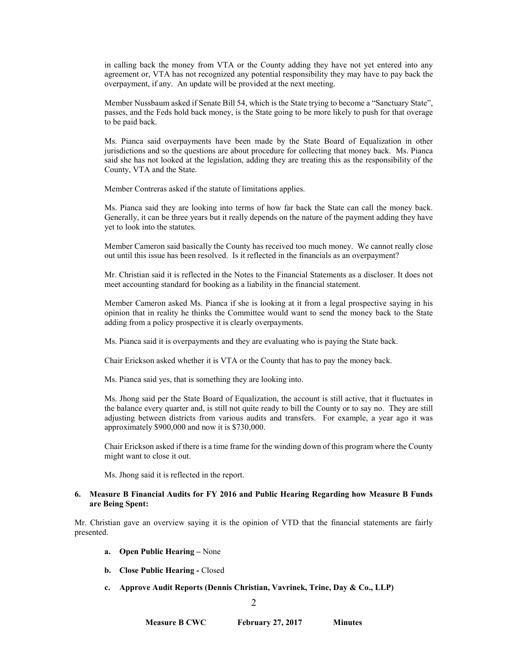in calling back the money from VTA or the County adding they have not yet entered into any agreement or, VTA has not recognized any potential responsibility they may have to pay back the overpayment, if any. An update will be provided at the next meeting.

Member Nussbaum asked if Senate Bill 54, which is the State trying to become a "Sanctuary State", passes, and the Feds hold back money, is the State going to be more likely to push for that overage to be paid back.

Ms. Pianca said overpayments have been made by the State Board of Equalization in other jurisdictions and so the questions are about procedure for collecting that money back. Ms. Pianca said she has not looked at the legislation, adding they are treating this as the responsibility of the County, VTA and the State.

Member Contreras asked if the statute of limitations applies.

Ms. Pianca said they are looking into terms of how far back the State can call the money back. Generally, it can be three years but it really depends on the nature of the payment adding they have yet to look into the statutes.

Member Cameron said basically the County has received too much money. We cannot really close out until this issue has been resolved. Is it reflected in the financials as an overpayment?

Mr. Christian said it is reflected in the Notes to the Financial Statements as a discloser. It does not meet accounting standard for booking as a liability in the financial statement.

Member Cameron asked Ms. Pianca if she is looking at it from a legal prospective saying in his opinion that in reality he thinks the Committee would want to send the money back to the State adding from a policy prospective it is clearly overpayments.

Ms. Pianca said it is overpayments and they are evaluating who is paying the State back.

Chair Erickson asked whether it is VTA or the County that has to pay the money back.

Ms. Pianca said yes, that is something they are looking into.

Ms. Jhong said per the State Board of Equalization, the account is still active, that it fluctuates in the balance every quarter and, is still not quite ready to bill the County or to say no. They are still adjusting between districts from various audits and transfers. For example, a year ago it was approximately \$900,000 and now it is \$730,000.

Chair Erickson asked if there is a time frame for the winding down of this program where the County might want to close it out.

Ms. Jhong said it is reflected in the report.

### **6. Measure B Financial Audits for FY 2016 and Public Hearing Regarding how Measure B Funds are Being Spent:**

Mr. Christian gave an overview saying it is the opinion of VTD that the financial statements are fairly presented.

- **a. Open Public Hearing –** None
- **b. Close Public Hearing -** Closed
- **c. Approve Audit Reports (Dennis Christian, Vavrinek, Trine, Day & Co., LLP)**